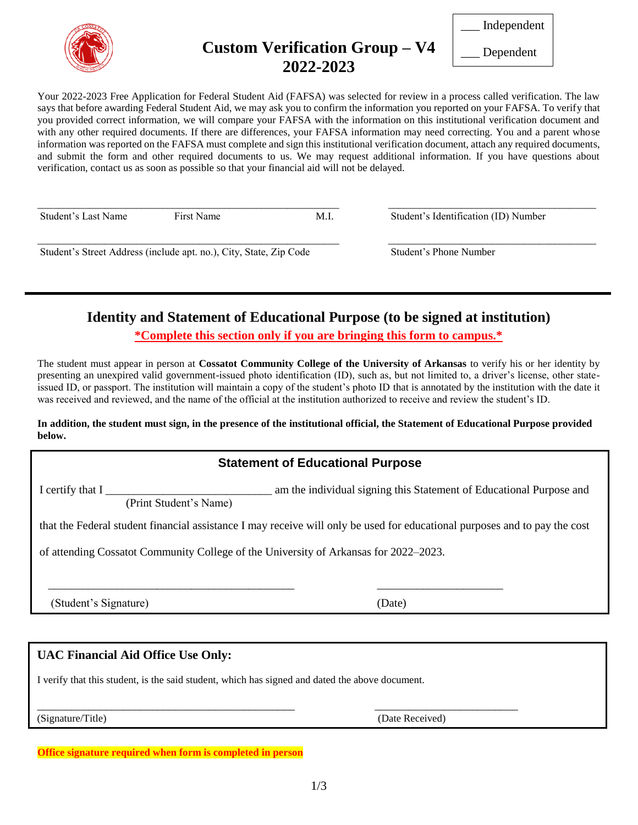

# **Custom Verification Group – V4 2022-2023**

\_\_\_ Independent

\_\_\_ Dependent

Your 2022-2023 Free Application for Federal Student Aid (FAFSA) was selected for review in a process called verification. The law says that before awarding Federal Student Aid, we may ask you to confirm the information you reported on your FAFSA. To verify that you provided correct information, we will compare your FAFSA with the information on this institutional verification document and with any other required documents. If there are differences, your FAFSA information may need correcting. You and a parent whose information was reported on the FAFSA must complete and sign this institutional verification document, attach any required documents, and submit the form and other required documents to us. We may request additional information. If you have questions about verification, contact us as soon as possible so that your financial aid will not be delayed.

\_\_\_\_\_\_\_\_\_\_\_\_\_\_\_\_\_\_\_\_\_\_\_\_\_\_\_\_\_\_\_\_\_\_\_\_\_\_\_\_\_\_\_\_\_\_\_\_\_\_\_\_\_\_\_\_\_\_ \_\_\_\_\_\_\_\_\_\_\_\_\_\_\_\_\_\_\_\_\_\_\_\_\_\_\_\_\_\_\_\_\_\_\_\_\_\_\_\_

\_\_\_\_\_\_\_\_\_\_\_\_\_\_\_\_\_\_\_\_\_\_\_\_\_\_\_\_\_\_\_\_\_\_\_\_\_\_\_\_\_\_\_\_\_\_\_\_\_\_\_\_\_\_\_\_\_\_ \_\_\_\_\_\_\_\_\_\_\_\_\_\_\_\_\_\_\_\_\_\_\_\_\_\_\_\_\_\_\_\_\_\_\_\_\_\_\_\_

Student's Last Name First Name First Name M.I. Student's Identification (ID) Number

Student's Street Address (include apt. no.), City, State, Zip Code Student's Phone Number

### **Identity and Statement of Educational Purpose (to be signed at institution) \*Complete this section only if you are bringing this form to campus.\***

The student must appear in person at **Cossatot Community College of the University of Arkansas** to verify his or her identity by presenting an unexpired valid government-issued photo identification (ID), such as, but not limited to, a driver's license, other stateissued ID, or passport. The institution will maintain a copy of the student's photo ID that is annotated by the institution with the date it was received and reviewed, and the name of the official at the institution authorized to receive and review the student's ID.

#### **In addition, the student must sign, in the presence of the institutional official, the Statement of Educational Purpose provided below.**

## **Statement of Educational Purpose**

I certify that I \_\_\_\_\_\_\_\_\_\_\_\_\_\_\_\_\_\_\_\_\_\_\_\_\_\_\_\_\_\_ am the individual signing this Statement of Educational Purpose and

(Print Student's Name)

that the Federal student financial assistance I may receive will only be used for educational purposes and to pay the cost

of attending Cossatot Community College of the University of Arkansas for 2022–2023.

 $\overline{\phantom{a}}$  , and the contribution of the contribution of the contribution of the contribution of the contribution of the contribution of the contribution of the contribution of the contribution of the contribution of the

(Student's Signature) (Date)

#### **UAC Financial Aid Office Use Only:**

I verify that this student, is the said student, which has signed and dated the above document.

(Signature/Title) (Date Received)

\_\_\_\_\_\_\_\_\_\_\_\_\_\_\_\_\_\_\_\_\_\_\_\_\_\_\_\_\_\_\_\_\_\_\_\_\_\_\_\_\_\_\_\_\_ \_\_\_\_\_\_\_\_\_\_\_\_\_\_\_\_\_\_\_\_\_\_\_\_\_

**Office signature required when form is completed in person**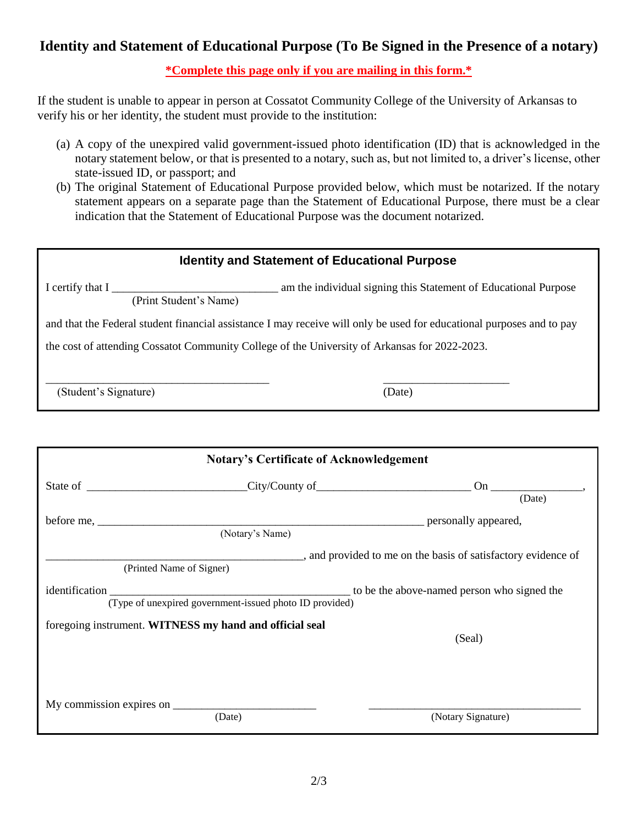### **Identity and Statement of Educational Purpose (To Be Signed in the Presence of a notary)**

**\*Complete this page only if you are mailing in this form.\***

If the student is unable to appear in person at Cossatot Community College of the University of Arkansas to verify his or her identity, the student must provide to the institution:

- (a) A copy of the unexpired valid government-issued photo identification (ID) that is acknowledged in the notary statement below, or that is presented to a notary, such as, but not limited to, a driver's license, other state-issued ID, or passport; and
- (b) The original Statement of Educational Purpose provided below, which must be notarized. If the notary statement appears on a separate page than the Statement of Educational Purpose, there must be a clear indication that the Statement of Educational Purpose was the document notarized.

| <b>Identity and Statement of Educational Purpose</b>                                                                    |        |  |  |
|-------------------------------------------------------------------------------------------------------------------------|--------|--|--|
| am the individual signing this Statement of Educational Purpose<br>I certify that $I_{\perp}$<br>(Print Student's Name) |        |  |  |
| and that the Federal student financial assistance I may receive will only be used for educational purposes and to pay   |        |  |  |
| the cost of attending Cossatot Community College of the University of Arkansas for 2022-2023.                           |        |  |  |
|                                                                                                                         |        |  |  |
| (Student's Signature)                                                                                                   | (Date) |  |  |
|                                                                                                                         |        |  |  |
|                                                                                                                         |        |  |  |
| <b>Notary's Certificate of Acknowledgement</b>                                                                          |        |  |  |

| State of City/County of City/County of                  |                                                         |                                                             |
|---------------------------------------------------------|---------------------------------------------------------|-------------------------------------------------------------|
|                                                         |                                                         | (Date)                                                      |
|                                                         |                                                         | personally appeared,                                        |
|                                                         | (Notary's Name)                                         |                                                             |
|                                                         |                                                         | and provided to me on the basis of satisfactory evidence of |
| (Printed Name of Signer)                                |                                                         |                                                             |
|                                                         |                                                         | to be the above-named person who signed the                 |
|                                                         | (Type of unexpired government-issued photo ID provided) |                                                             |
| foregoing instrument. WITNESS my hand and official seal |                                                         |                                                             |
|                                                         |                                                         | (Seal)                                                      |
|                                                         |                                                         |                                                             |
|                                                         |                                                         |                                                             |
|                                                         |                                                         |                                                             |
|                                                         |                                                         |                                                             |
|                                                         | (Date)                                                  | (Notary Signature)                                          |